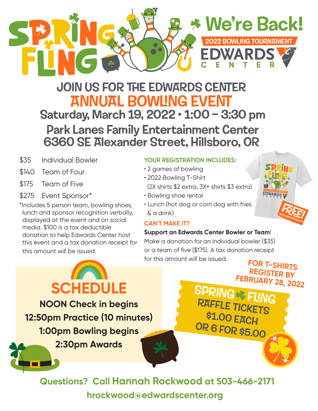

# JOIN US FOR THE EDWARDS CENTER **ANNUAL BOWLING EVENT** Saturday, March 19, 2022 • 1:00 – 3:30 pm Park Lanes Family Entertainment Center 6360 SE Alexander Street, Hillsboro, OR

- \$35 Individual Bowler
- \$140 Team of Four
- \$175 Team of Five
- \$275 Event Sponsor\*

\*Includes 5 person team, bowling shoes, lunch and sponsor recognition verbally, displayed at the event and on social media. \$100 is a tax deductible donation to help Edwards Center host this event and a tax donation receipt for this amount will be issued.

### **YOUR REGISTRATION INCLUDES:**

- 2 games of bowling
- 2022 Bowling T-Shirt

(2X shirts \$2 extra, 3X+ shirts \$3 extra)

- Bowling shoe rental
- Lunch (hot dog or corn dog with fries & a drink)

### **CAN'T MAKE IT?**

#### **Support an Edwards Center Bowler or Team**!

Make a donation for an individual bowler (\$35) or a team of five (\$175). A tax donation receipt for this amount will be issued. **FOR T-SHIRTS**

**SCHEDULE NOON Check in begins 12:50pm Practice (10 minutes) 1:00pm Bowling begins 2:30pm Awards** 





**REGISTER BY**

FEBRUARY 28, 2022

**RAFFLE TICKETS** 

\$1.00 EACH

**OR 6 FOR \$5.00**